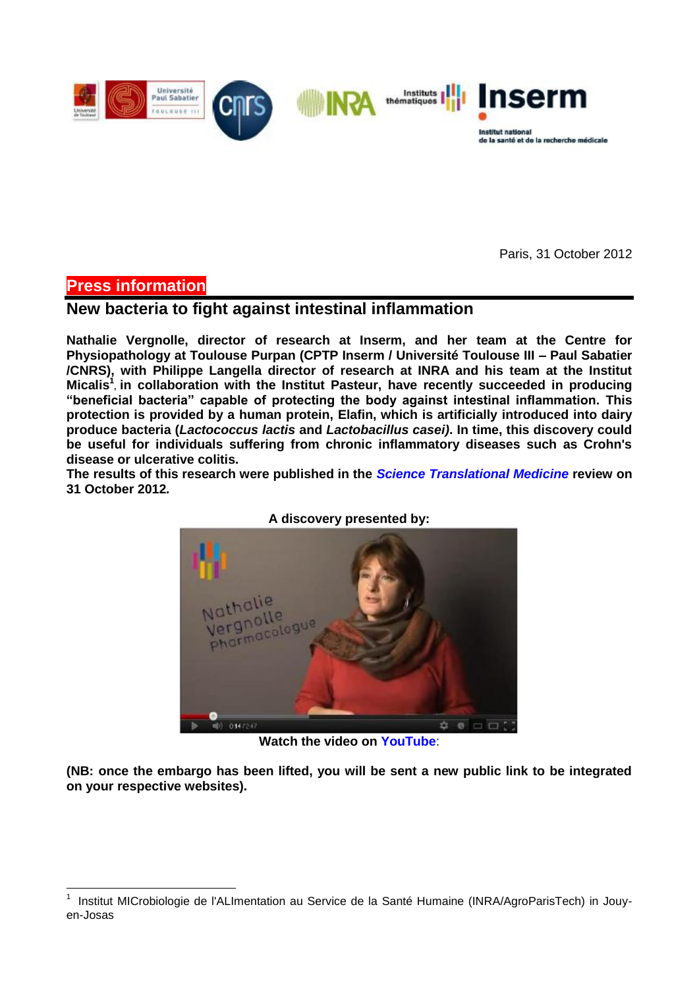

Paris, 31 October 2012

# **Press information**

1

# **New bacteria to fight against intestinal inflammation**

**Nathalie Vergnolle, director of research at Inserm, and her team at the Centre for Physiopathology at Toulouse Purpan (CPTP Inserm / Université Toulouse III – Paul Sabatier /CNRS), with Philippe Langella director of research at INRA and his team at the Institut Micalis<sup>1</sup> , in collaboration with the Institut Pasteur, have recently succeeded in producing "beneficial bacteria" capable of protecting the body against intestinal inflammation. This protection is provided by a human protein, Elafin, which is artificially introduced into dairy produce bacteria (***Lactococcus lactis* **and** *Lactobacillus casei)***. In time, this discovery could be useful for individuals suffering from chronic inflammatory diseases such as Crohn's disease or ulcerative colitis.**

**The results of this research were published in the** *Science Translational Medicine* **review on 31 October 2012***.*



**A discovery presented by:**

**Watch the video on YouTube**:

**(NB: once the embargo has been lifted, you will be sent a new public link to be integrated on your respective websites).**

<sup>1</sup> Institut MICrobiologie de l'ALImentation au Service de la Santé Humaine (INRA/AgroParisTech) in Jouyen-Josas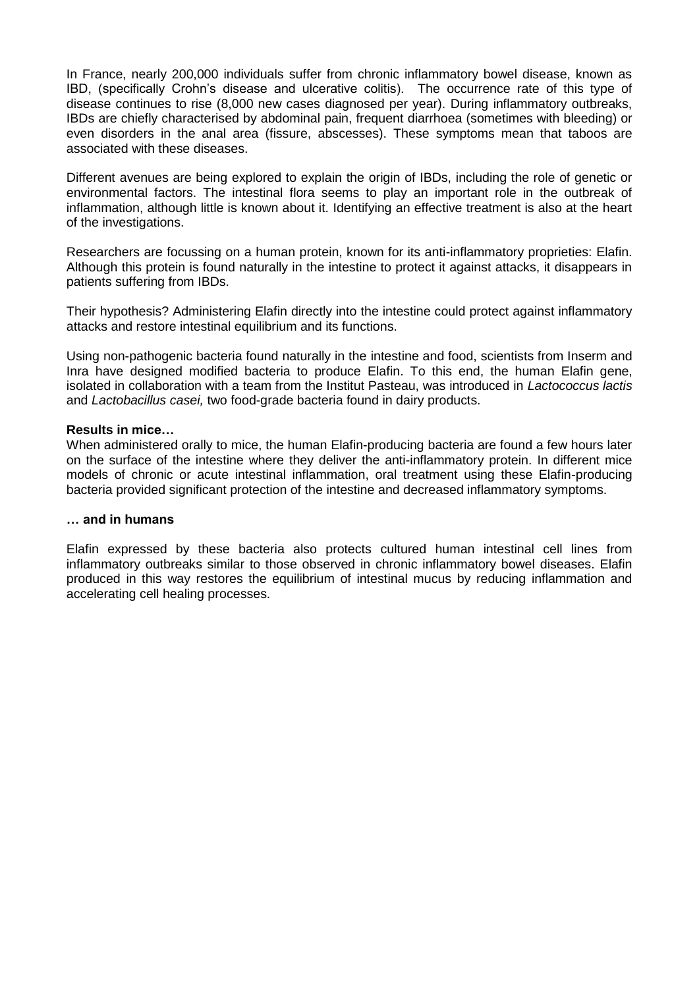In France, nearly 200,000 individuals suffer from chronic inflammatory bowel disease, known as IBD, (specifically Crohn's disease and ulcerative colitis). The occurrence rate of this type of disease continues to rise (8,000 new cases diagnosed per year). During inflammatory outbreaks, IBDs are chiefly characterised by abdominal pain, frequent diarrhoea (sometimes with bleeding) or even disorders in the anal area (fissure, abscesses). These symptoms mean that taboos are associated with these diseases.

Different avenues are being explored to explain the origin of IBDs, including the role of genetic or environmental factors. The intestinal flora seems to play an important role in the outbreak of inflammation, although little is known about it. Identifying an effective treatment is also at the heart of the investigations.

Researchers are focussing on a human protein, known for its anti-inflammatory proprieties: Elafin. Although this protein is found naturally in the intestine to protect it against attacks, it disappears in patients suffering from IBDs.

Their hypothesis? Administering Elafin directly into the intestine could protect against inflammatory attacks and restore intestinal equilibrium and its functions.

Using non-pathogenic bacteria found naturally in the intestine and food, scientists from Inserm and Inra have designed modified bacteria to produce Elafin. To this end, the human Elafin gene, isolated in collaboration with a team from the Institut Pasteau, was introduced in *Lactococcus lactis*  and *Lactobacillus casei,* two food-grade bacteria found in dairy products.

### **Results in mice…**

When administered orally to mice, the human Elafin-producing bacteria are found a few hours later on the surface of the intestine where they deliver the anti-inflammatory protein. In different mice models of chronic or acute intestinal inflammation, oral treatment using these Elafin-producing bacteria provided significant protection of the intestine and decreased inflammatory symptoms.

#### **… and in humans**

Elafin expressed by these bacteria also protects cultured human intestinal cell lines from inflammatory outbreaks similar to those observed in chronic inflammatory bowel diseases. Elafin produced in this way restores the equilibrium of intestinal mucus by reducing inflammation and accelerating cell healing processes.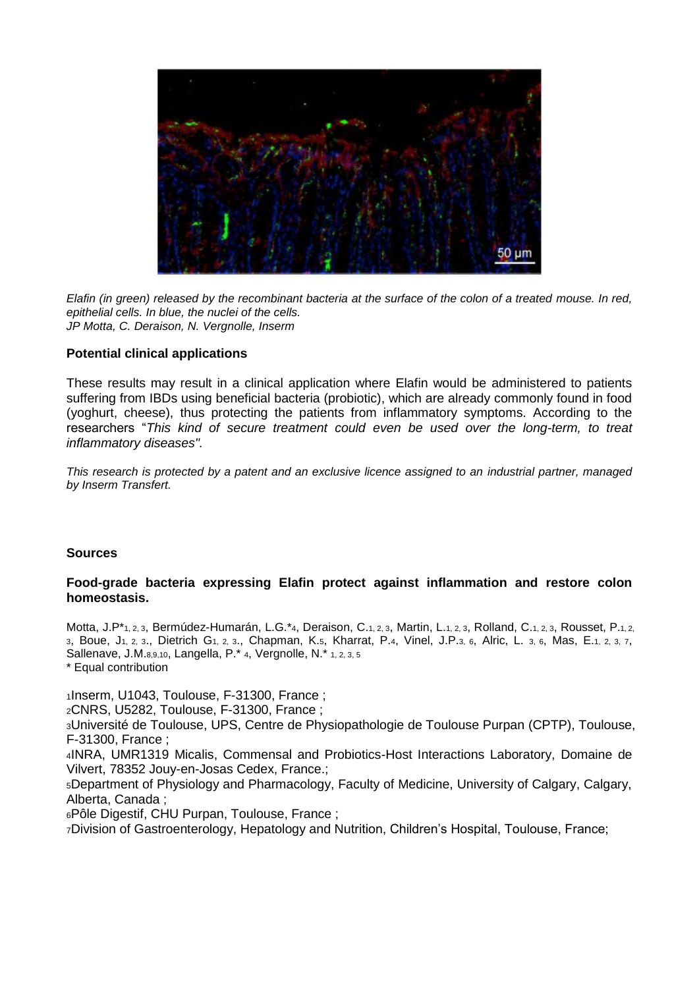

*Elafin (in green) released by the recombinant bacteria at the surface of the colon of a treated mouse. In red, epithelial cells. In blue, the nuclei of the cells. JP Motta, C. Deraison, N. Vergnolle, Inserm*

# **Potential clinical applications**

These results may result in a clinical application where Elafin would be administered to patients suffering from IBDs using beneficial bacteria (probiotic), which are already commonly found in food (yoghurt, cheese), thus protecting the patients from inflammatory symptoms. According to the researchers "*This kind of secure treatment could even be used over the long-term, to treat inflammatory diseases".*

*This research is protected by a patent and an exclusive licence assigned to an industrial partner, managed by Inserm Transfert.* 

### **Sources**

## **Food-grade bacteria expressing Elafin protect against inflammation and restore colon homeostasis.**

Motta, J.P\*<sub>1, 2,</sub> 3, Bermúdez-Humarán, L.G.\*4, Deraison, C.<sub>1, 2,</sub> 3, Martin, L.<sub>1, 2,</sub> 3, Rolland, C.<sub>1, 2,</sub> 3, Rousset, P.<sub>1, 2,</sub> <sup>3</sup>, Boue, J1, 2, 3., Dietrich G1, 2, 3., Chapman, K.5, Kharrat, P.4, Vinel, J.P.3, 6, Alric, L. 3, 6, Mas, E.1, 2, 3, 7, Sallenave, J.M.8,9,10, Langella, P.\* 4, Vergnolle, N.\* 1, 2, 3, 5 \* Equal contribution

1Inserm, U1043, Toulouse, F-31300, France;

<sup>2</sup>CNRS, U5282, Toulouse, F-31300, France ;

<sup>3</sup>Université de Toulouse, UPS, Centre de Physiopathologie de Toulouse Purpan (CPTP), Toulouse, F-31300, France ;

<sup>4</sup>INRA, UMR1319 Micalis, Commensal and Probiotics-Host Interactions Laboratory, Domaine de Vilvert, 78352 Jouy-en-Josas Cedex, France.;

<sup>5</sup>Department of Physiology and Pharmacology, Faculty of Medicine, University of Calgary, Calgary, Alberta, Canada ;

<sup>6</sup>Pôle Digestif, CHU Purpan, Toulouse, France ;

7Division of Gastroenterology, Hepatology and Nutrition, Children's Hospital, Toulouse, France;